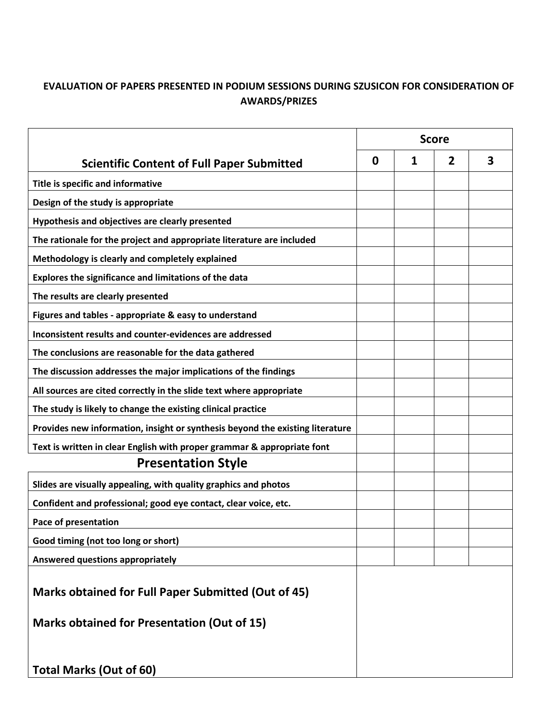## **EVALUATION OF PAPERS PRESENTED IN PODIUM SESSIONS DURING SZUSICON FOR CONSIDERATION OF AWARDS/PRIZES**

|                                                                                      | <b>Score</b> |   |   |   |
|--------------------------------------------------------------------------------------|--------------|---|---|---|
| <b>Scientific Content of Full Paper Submitted</b>                                    | 0            | 1 | 2 | 3 |
| Title is specific and informative                                                    |              |   |   |   |
| Design of the study is appropriate                                                   |              |   |   |   |
| Hypothesis and objectives are clearly presented                                      |              |   |   |   |
| The rationale for the project and appropriate literature are included                |              |   |   |   |
| Methodology is clearly and completely explained                                      |              |   |   |   |
| Explores the significance and limitations of the data                                |              |   |   |   |
| The results are clearly presented                                                    |              |   |   |   |
| Figures and tables - appropriate & easy to understand                                |              |   |   |   |
| Inconsistent results and counter-evidences are addressed                             |              |   |   |   |
| The conclusions are reasonable for the data gathered                                 |              |   |   |   |
| The discussion addresses the major implications of the findings                      |              |   |   |   |
| All sources are cited correctly in the slide text where appropriate                  |              |   |   |   |
| The study is likely to change the existing clinical practice                         |              |   |   |   |
| Provides new information, insight or synthesis beyond the existing literature        |              |   |   |   |
| Text is written in clear English with proper grammar & appropriate font              |              |   |   |   |
| <b>Presentation Style</b>                                                            |              |   |   |   |
| Slides are visually appealing, with quality graphics and photos                      |              |   |   |   |
| Confident and professional; good eye contact, clear voice, etc.                      |              |   |   |   |
| <b>Pace of presentation</b>                                                          |              |   |   |   |
| Good timing (not too long or short)                                                  |              |   |   |   |
| Answered questions appropriately                                                     |              |   |   |   |
| <b>Marks obtained for Full Paper Submitted (Out of 45)</b>                           |              |   |   |   |
| <b>Marks obtained for Presentation (Out of 15)</b><br><b>Total Marks (Out of 60)</b> |              |   |   |   |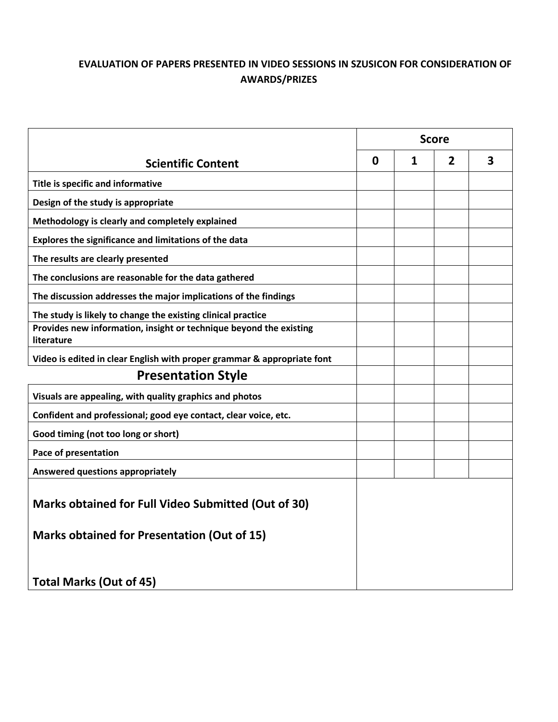## **EVALUATION OF PAPERS PRESENTED IN VIDEO SESSIONS IN SZUSICON FOR CONSIDERATION OF AWARDS/PRIZES**

|                                                                                  | <b>Score</b> |   |                |   |
|----------------------------------------------------------------------------------|--------------|---|----------------|---|
| <b>Scientific Content</b>                                                        | $\mathbf 0$  | 1 | $\overline{2}$ | 3 |
| Title is specific and informative                                                |              |   |                |   |
| Design of the study is appropriate                                               |              |   |                |   |
| Methodology is clearly and completely explained                                  |              |   |                |   |
| Explores the significance and limitations of the data                            |              |   |                |   |
| The results are clearly presented                                                |              |   |                |   |
| The conclusions are reasonable for the data gathered                             |              |   |                |   |
| The discussion addresses the major implications of the findings                  |              |   |                |   |
| The study is likely to change the existing clinical practice                     |              |   |                |   |
| Provides new information, insight or technique beyond the existing<br>literature |              |   |                |   |
| Video is edited in clear English with proper grammar & appropriate font          |              |   |                |   |
| <b>Presentation Style</b>                                                        |              |   |                |   |
| Visuals are appealing, with quality graphics and photos                          |              |   |                |   |
| Confident and professional; good eye contact, clear voice, etc.                  |              |   |                |   |
| Good timing (not too long or short)                                              |              |   |                |   |
| Pace of presentation                                                             |              |   |                |   |
| Answered questions appropriately                                                 |              |   |                |   |
| Marks obtained for Full Video Submitted (Out of 30)                              |              |   |                |   |
| <b>Marks obtained for Presentation (Out of 15)</b>                               |              |   |                |   |
| <b>Total Marks (Out of 45)</b>                                                   |              |   |                |   |